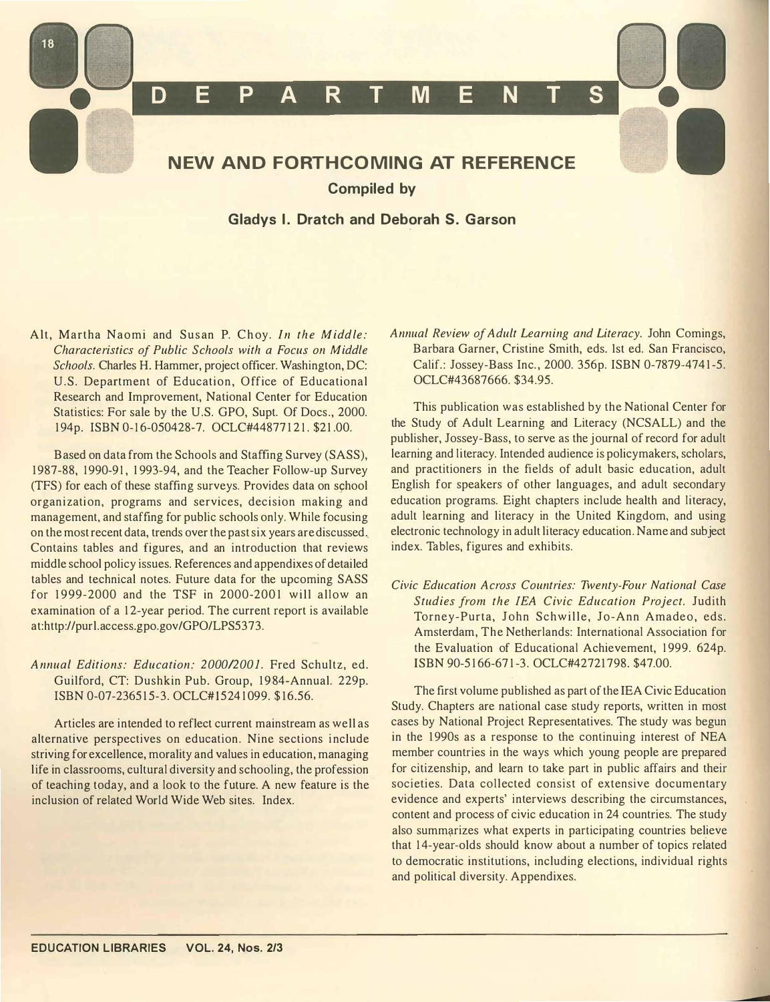

Alt, Martha Naomi and Susan P. Choy. In the Middle: Characteristics of Public Schools with a Focus on Middle Schools. Charles H. Hammer, project officer. Washington, DC: U.S. Department of Education, Office of Educational Research and Improvement, National Center for Education Statistics: For sale by the U.S. GPO, Supt. Of Docs., 2000. 194p. ISBN 0-16-050428-7. OCLC#44877121. \$21.00.

B ased on data from the Schools and Staffing Survey (SASS), 1987-88, 1990-91, 1993-94, and the Teacher Follow-up Survey (TFS) for each of these staffing surveys. Provides data on school organization, programs and services, decision making and management, and staffing for public schools only. While focusing on the most recent data, trends over the past six years are discussed .. Contains tables and figures, and an introduction that reviews middle school policy issues. References and appendixes of detailed tables and technical notes. Future data for the upcoming SASS for  $1999-2000$  and the TSF in  $2000-2001$  will allow an examination of a 12-year period. The current report is available at:http://purl.access.gpo.gov/GPO/LPS5373.

Annual Editions: Education: 2000/2001. Fred Schultz, ed. Guilford, CT: Dushkin Pub. Group, 1984-Annual. 229p. ISBN 0-07-236515-3. OCLC#15241099. \$16.56.

Articles are intended to reflect current mainstream as well as alternative perspectives on education. Nine sections include striving for excellence, morality and values in education, managing life in classrooms, cultural diversity and schooling, the profession of teaching today, and a look to the future. A new feature is the inclusion of related World Wide Web sites. Index.

Annual Review of Adult Learning and Literacy. John Comings, Barbara Garner, Cristine Smith, eds. 1st ed. San Francisco, Calif.: Jossey-Bass Inc., 2000. 356p. ISBN 0-7879-4741-5. OCLC#43687666. \$34.95.

This publication was established by the National Center for the Study of Adult Learning and Literacy (NCSALL) and the publisher, Jossey-Bass, to serve as the journal of record for adult learning and literacy. Intended audience is policymakers, scholars, and practitioners in the fields of adult basic education, adult English for speakers of other languages, and adult secondary education programs. Eight chapters include health and literacy, adult learning and literacy in the United Kingdom, and using electronic technology in adult literacy education. Name and subject index. Tables, figures and exhibits.

Civic Education Across Countries: Twenty-Four National Case Studies from the lEA Civic Education Project. Judith Torney-Purta, John Schwille, Jo-Ann Amadeo, eds. Amsterdam, The Netherlands: International Association for the Evaluation of Educational Achievement, 1999, 624p. ISBN 90-5166-671-3. OCLC#42721798. \$47.00.

The first volume published as part of the lEA Civic Education Study. Chapters are national case study reports, written in most cases by National Project Representatives. The study was begun in the 1990s as a response to the continuing interest of NEA member countries in the ways which young people are prepared for citizenship, and learn to take part in public affairs and their societies. Data collected consist of extensive documentary evidence and experts' interviews describing the circumstances, content and process of civic education in 24 countries. The study also summarizes what experts in participating countries believe that 14-year-olds should know about a number of topics related to democratic institutions, including elections, individual rights and political diversity. Appendixes.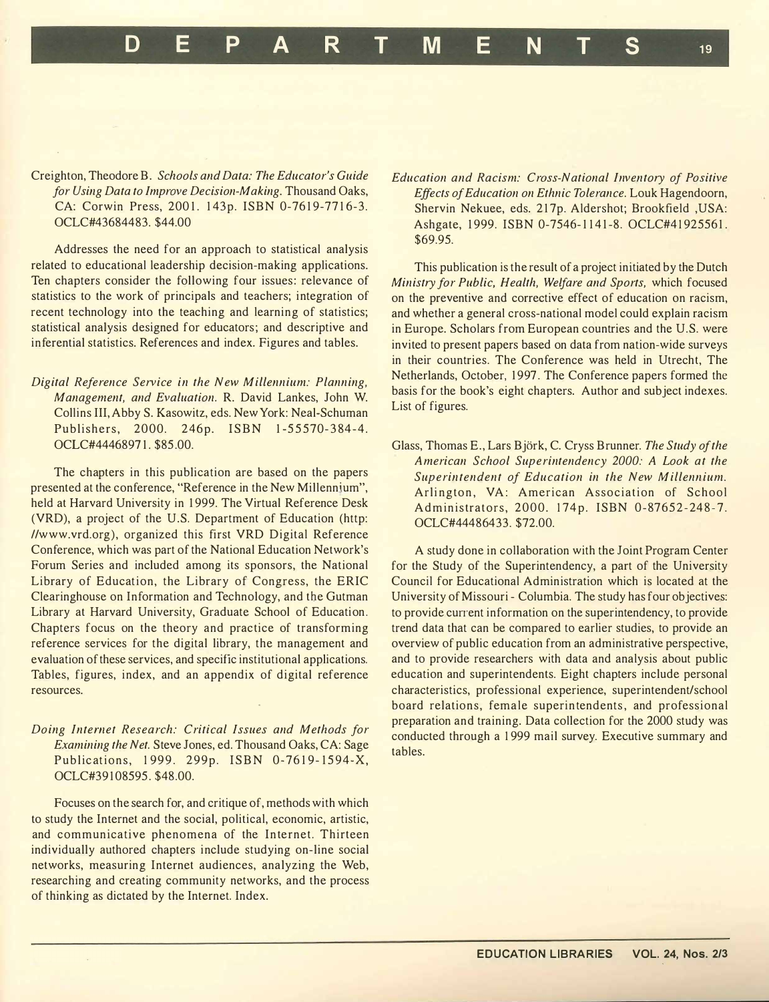Creighton, Theodore B. Schools and Data: The Educator's Guide for Using Data to Improve Decision-Making. Thousand Oaks, CA: Corwin Press, 2001. 143p. ISBN 0-7619-7716-3. OCLC#43684483. \$44.00

Addresses the need for an approach to statistical analysis related to educational leadership decision-making applications. Ten chapters consider the following four issues: relevance of statistics to the work of principals and teachers; integration of recent technology into the teaching and learning of statistics; statistical analysis designed for educators; and descriptive and inferential statistics. References and index. Figures and tables.

Digital Reference Service in the New Millennium: Planning, Management, and Evaluation. R. David Lankes, John W. Collins III, Abby S. Kasowitz, eds. New York: Neal-Schuman Publishers, 2000. 246p. ISBN 1-55570-384-4. OCLC#44468971. \$85 .00.

The chapters in this publication are based on the papers presented at the conference, "Reference in the New Millennium", held at Harvard University in 1999. The Virtual Reference Desk (VRD), a project of the U.S. Department of Education (http: //www.vrd.org), organized this first VRD Digital Reference Conference, which was part of the National Education Network's Forum Series and included among its sponsors, the National Library of Education, the Library of Congress, the ERIC Clearinghouse on Information and Technology, and the Gutman Library at Harvard University, Graduate School of Education . Chapters focus on the theory and practice of transforming reference services for the digital library, the management and evaluation of these services, and specific institutional applications. Tables, figures, index, and an appendix of digital reference resources.

Doing Internet Research: Critical Issues and Methods for Examining the Net. Steve Jones, ed. Thousand Oaks, CA: Sage Publications, 1999. 299p. ISBN 0-7619-1594-X, OCLC#39108595. \$48.00.

Focuses on the search for, and critique of, methods with which to study the Internet and the social, political, economic, artistic, and communicative phenomena of the Internet. Thirteen individually authored chapters include studying on-line social networks, measuring Internet audiences, analyzing the Web, researching and creating community networks, and the process of thinking as dictated by the Internet. Index.

Education and Racism: Cross-National Inventory of Positive Effects of Education on Ethnic Tolerance. Louk Hagendoorn, Shervin Nekuee, eds. 217p. Aldershot; Brookfield ,USA: Ashgate, 1999. ISBN 0-7546-1141-8. OCLC#41925561. \$69.95.

This publication is the result of a project initiated by the Dutch Ministry for Public, Health, Welfare and Sports, which focused on the preventive and corrective effect of education on racism, and whether a general cross-national model could explain racism in Europe. Scholars from European countries and the U.S. were invited to present papers based on data from nation-wide surveys in their countries. The Conference was held in Utrecht, The Netherlands, October, 1997. The Conference papers formed the basis for the book's eight chapters. Author and subject indexes. List of figures.

Glass, Thomas E., Lars Björk, C. Cryss Brunner. The Study of the American School Superintendency 2000: A Look at the Superintendent of Education in the New Millennium. Arlington, VA: American Association of School Administrators, 2000. 174p. ISBN 0-87652-248-7. OCLC#44486433. \$72.00.

A study done in collaboration with the Joint Program Center for the Study of the Superintendency, a part of the University Council for Educational Administration which is located at the University of Missouri - Columbia. The study has four objectives: to provide current information on the superintendency, to provide trend data that can be compared to earlier studies, to provide an overview of public education from an administrative perspective, and to provide researchers with data and analysis about public education and superintendents. Eight chapters include personal characteristics, professional experience, superintendent/school board relations, female superintendents, and professional preparation and training. Data collection for the 2000 study was conducted through a 1 999 mail survey. Executive summary and tables.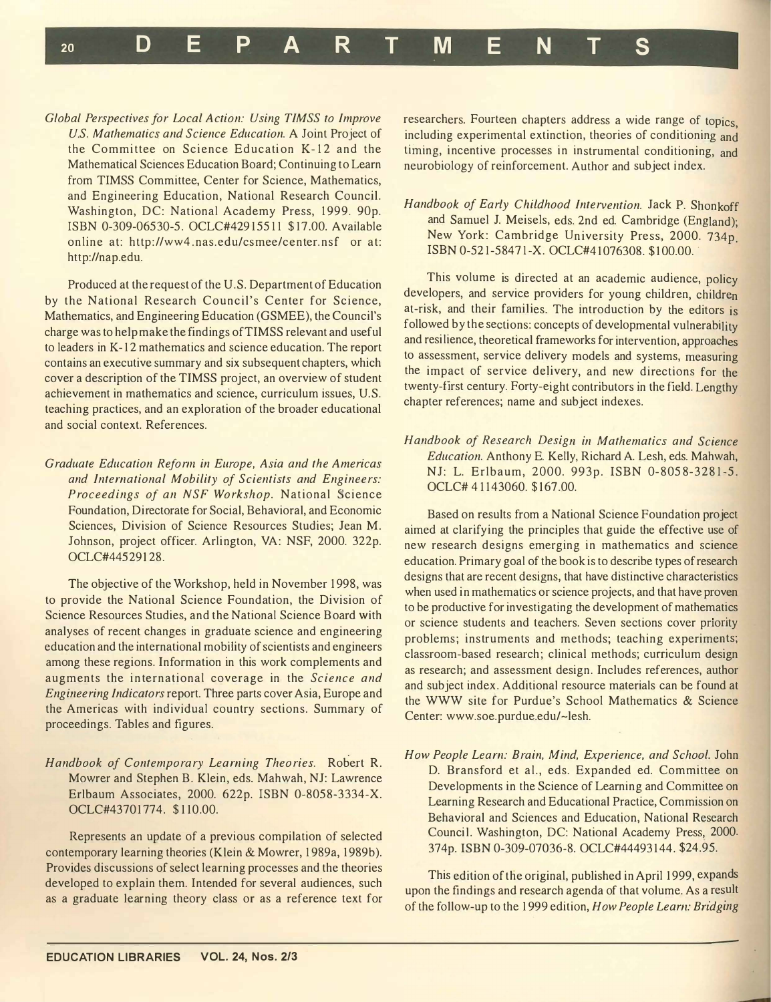Global Perspectives for Local Action: Using TIMSS to Improve U.S. Mathematics and Science Education. A Joint Project of the Committee on Science Education K-12 and the Mathematical Sciences Education Board; Continuing to Learn from TIMSS Committee, Center for Science, Mathematics, and Engineering Education, National Research Council. Washington, DC: National Academy Press, 1999. 90p. ISBN 0-309-06530-5. OCLC#42915511 \$17.00. Available online at: http://ww4.nas.edu/csmee/center.nsf or at: http://nap.edu.

<sup>20</sup>DEP A R T M ENT S

Produced at the request of the U.S. Department of Education by the National Research Council's Center for Science, Mathematics, and Engineering Education (GSMEE), the Council's charge was to help make the findings ofTIMSS relevant and useful to leaders in K- 12 mathematics and science education. The report contains an executive summary and six subsequent chapters, which cover a description of the TIMSS project, an overview of student achievement in mathematics and science, curriculum issues, U.S. teaching practices, and an exploration of the broader educational and social context. References.

Graduate Education Reform in Europe, Asia and the Americas and International Mobility of Scientists and Engineers: Proceedings of an NSF Workshop. National Science Foundation, Directorate for Social, Behavioral, and Economic Sciences, Division of Science Resources Studies; Jean M. Johnson, project officer. Arlington, VA: NSF, 2000. 322p. OCLC#44529128.

The objective of the Workshop, held in November 1998, was to provide the National Science Foundation, the Division of . Science Resources Studies, and the National Science B oard With analyses of recent changes in graduate science and engineering education and the international mobility of scientists and engineers among these regions. Information in this work complements and augments the international coverage in the Science and Engineering Indicators report. Three parts cover Asia, Europe and the Americas with individual country sections. Summary of proceedings. Tables and figures.

Handbook of Contemporary Learning Theories. Robert R. Mowrer and Stephen B. Klein, eds. Mahwah, NJ: Lawrence Erlbaum Associates, 2000. 622p. ISBN 0-8058-3334-X. OCLC#43701774. \$110.00.

Represents an update of a previous compilation of selected contemporary learning theories (Klein & Mowrer, 1989a, 1989b). Provides discussions of select learning processes and the theories developed to explain them. Intended for several audiences, such as a graduate learning theory class or as a reference text for researchers. Fourteen chapters address a wide range of topics, including experimental extinction, theories of conditioning and timing, incentive processes in instrumental conditioning, and neurobiology of reinforcement. Author and subject index.

## Handbook of Early Childhood Intervention. Jack P. Shonkoff and Samuel J. Meisels, eds. 2nd ed. Cambridge (England); New York: Cambridge University Press, 2000. 734p. ISBN 0-521-58471-X. OCLC#41076308. \$100.00.

This volume is directed at an academic audience, policy developers, and service providers for young children, children at-risk, and their families. The introduction by the editors is followed by the sections: concepts of developmental vulnerability and resilience, theoretical frameworks for intervention, approaches to assessment, service delivery models and systems, measuring the impact of service delivery, and new directions for the twenty-first century. Forty-eight contributors in the field. Lengthy chapter references; name and subject indexes.

Handbook of Research Design in Mathematics and Science Education. Anthony E. Kelly, Richard A. Lesh, eds. Mahwah, NJ: L. Erlbaum, 2000. 993p. ISBN 0-8058-3281-5. OCLC# 41143060. \$167.00.

Based on results from a National Science Foundation project aimed at clarifying the principles that guide the effective use of new research designs emerging in mathematics and science education. Primary goal of the book is to describe types of research designs that are recent designs, that have distinctive characteristics when used in mathematics or science projects, and that have proven to be productive for investigating the development of mathemat�cs or science students and teachers. Seven sections cover priority problems; instruments and methods; teaching experiments; . classroom-based research; clinical methods; curnculum design as research; and assessment design. Includes references, author and subject index. Additional resource materials can be found at the WWW site for Purdue's School Mathematics & Science Center: www.soe.purdue.edu/-lesh.

How People Learn: Brain, Mind, Experience, and School. John D. Bransford et al., eds. Expanded ed. Committee on Developments in the Science of Learning and Committee on Learning Research and Educational Practice, Commission on Behavioral and Sciences and Education, National Research Council. Washington, DC: National Academy Press, 2000. 374p. ISBN 0-309-07036-8. OCLC#44493144. \$24.95.

This edition of the original, published in April 1999, expands upon the findings and research agenda of that volume. As a result . . of the follow-up to the 1999 edition, How People Learn: Bridging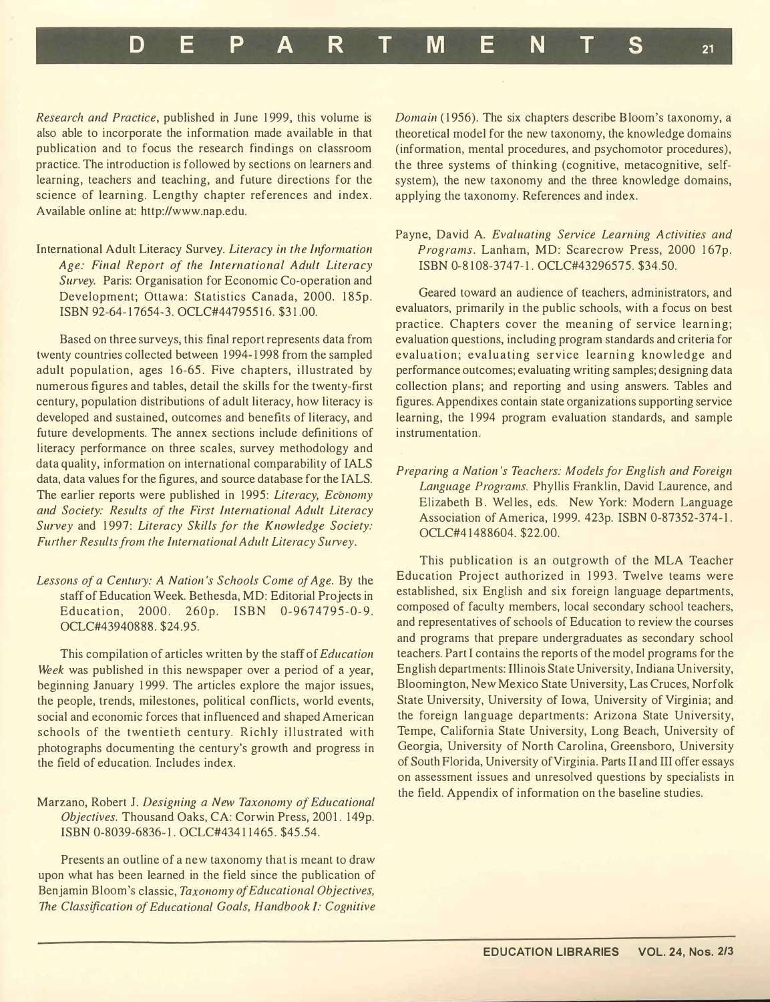D E P A R T M E N T S <sup>21</sup>

Research and Practice, published in June 1999, this volume is also able to incorporate the information made available in that publication and to focus the research findings on classroom practice. The introduction is followed by sections on learners and learning, teachers and teaching, and future directions for the science of learning. Lengthy chapter references and index. Available online at: http://www.nap.edu.

International Adult Literacy Survey. Literacy in the Information Age: Final Report of the International Adult Literacy Survey. Paris: Organisation for Economic Co-operation and Development; Ottawa: Statistics Canada, 2000. 185p. ISBN 92-64-17654-3. OCLC#44795516. \$31.00.

Based on three surveys, this final report represents data from twenty countries collected between 1 994- 1 998 from the sampled adult population, ages 16-65. Five chapters, illustrated by numerous figures and tables, detail the skills for the twenty-first century, population distributions of adult literacy, how literacy is developed and sustained, outcomes and benefits of literacy, and future developments. The annex sections include definitions of literacy performance on three scales, survey methodology and data quality, information on international comparability of IALS data, data values for the figures, and source database for the IALS. The earlier reports were published in 1995: Literacy, Economy and Society: Results of the First International Adult Literacy Survey and 1997: Literacy Skills for the Knowledge Society: Further Results from the International Adult Literacy Survey.

Lessons of a Century: A Nation's Schools Come of Age. By the staff of Education Week. Bethesda, MD: Editorial Projects in Education, 2000. 260p. ISBN 0-9674795-0-9. OCLC#43940888. \$24.95.

This compilation of articles written by the staff of Education Week was published in this newspaper over a period of a year, beginning January 1999. The articles explore the major issues, the people, trends, milestones, political conflicts, world events, social and economic forces that influenced and shaped American schools of the twentieth century. Richly illustrated with photographs documenting the century's growth and progress in the field of education. Includes index.

Marzano, Robert J. Designing a New Taxonomy of Educational Objectives. Thousand Oaks, CA: Corwin Press, 2001. 149p. ISBN 0-8039-6836-1. OCLC#434 1 1465 . \$45 .54.

Presents an outline of a new taxonomy that is meant to draw upon what has been learned in the field since the publication of Benjamin Bloom's classic, Taxonomy of Educational Objectives, The Classification of Educational Goals, Handbook I: Cognitive

Domain (1956). The six chapters describe Bloom's taxonomy, a theoretical model for the new taxonomy, the knowledge domains (information, mental procedures, and psychomotor procedures), the three systems of thinking (cognitive, metacognitive, selfsystem), the new taxonomy and the three knowledge domains, applying the taxonomy. References and index.

## Payne, David A. Evaluating Service Learning Activities and Programs. Lanham, MD: Scarecrow Press, 2000 167p. ISBN 0-8108-3747-1. OCLC#43296575. \$34.50.

Geared toward an audience of teachers, administrators, and evaluators, primarily in the public schools, with a focus on best practice. Chapters cover the meaning of service learning; evaluation questions, including program standards and criteria for evaluation; evaluating service learning knowledge and performance outcomes; evaluating writing samples; designing data collection plans; and reporting and using answers. Tables and figures. Appendixes contain state organizations supporting service learning, the 1994 program evaluation standards, and sample instrumentation.

Preparing a Nation 's Teachers: Models for English and Foreign Language Programs. Phyllis Franklin, David Laurence, and Elizabeth B. Welles, eds. New York: Modern Language Association of America, 1999. 423p. ISBN 0-87352-374-1. OCLC#4 1 488604. \$22.00.

This publication is an outgrowth of the MLA Teacher Education Project authorized in 1993. Twelve teams were established, six English and six foreign language departments, composed of faculty members, local secondary school teachers, and representatives of schools of Education to review the courses and programs that prepare undergraduates as secondary school teachers. Part I contains the reports of the model programs for the English departments: Illinois State University, Indiana University, Bloomington, New Mexico State University, Las Cruces, Norfolk State University, University of Iowa, University of Virginia; and the foreign language departments: Arizona State University, Tempe, California State University, Long Beach, University of Georgia, University of North Carolina, Greensboro, University of South Florida, University of Virginia. Parts II and III offer essays on assessment issues and unresolved questions by specialists in the field. Appendix of information on the baseline studies.